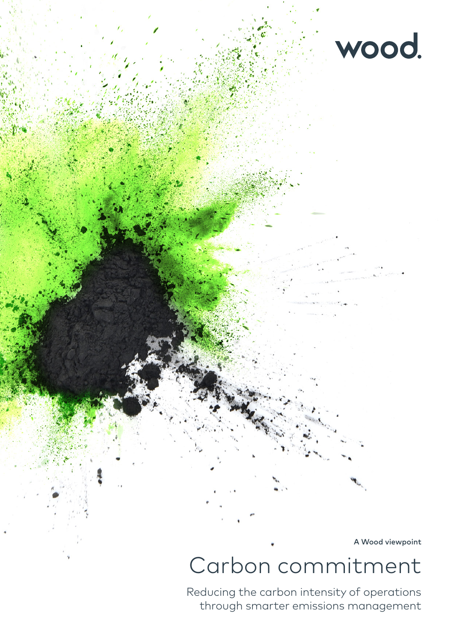### A Wood viewpoint

wood.

# Carbon commitment

Reducing the carbon intensity of operations through smarter emissions management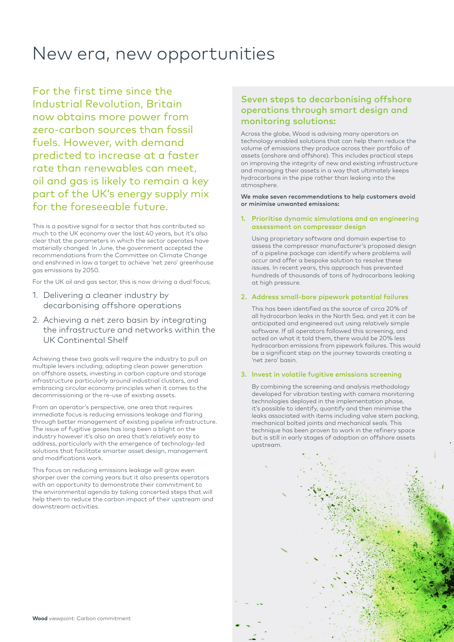# New era, new opportunities

For the first time since the Industrial Revolution, Britain now obtains more power from zero-carbon sources than fossil fuels. However, with demand predicted to increase at a faster rate than renewables can meet, oil and gas is likely to remain a key part of the UK's energy supply mix for the foreseeable future.

This is a positive signal for a sector that has contributed so much to the UK economy over the last 40 years, but it's also clear that the parameters in which the sector operates have materially changed. In June, the government accepted the recommendations from the Committee on Climate Change and enshrined in law a target to achieve 'net zero' greenhouse gas emissions by 2050.

For the UK oil and gas sector, this is now driving a dual focus;

- 1. Delivering a cleaner industry by decarbonising offshore operations
- 2. Achieving a net zero basin by integrating the infrastructure and networks within the UK Continental Shelf

Achieving these two goals will require the industry to pull on multiple levers including; adopting clean power generation on offshore assets, investing in carbon capture and storage infrastructure particularly around industrial clusters, and embracing circular economy principles when it comes to the decommissioning or the re-use of existing assets.

From an operator's perspective, one area that requires immediate focus is reducing emissions leakage and flaring through better management of existing pipeline infrastructure. The issue of fugitive gases has long been a blight on the industry however it's also an area that's relatively easy to address, particularly with the emergence of technology-led solutions that facilitate smarter asset design, management and modifications work.

This focus on reducing emissions leakage will grow even sharper over the coming years but it also presents operators with an opportunity to demonstrate their commitment to the environmental agenda by taking concerted steps that will help them to reduce the carbon impact of their upstream and downstream activities.

### Seven steps to decarbonising offshore operations through smart design and monitoring solutions:

Across the globe, Wood is advising many operators on technology enabled solutions that can help them reduce the volume of emissions they produce across their portfolio of assets (onshore and offshore). This includes practical steps on improving the integrity of new and existing infrastructure and managing their assets in a way that ultimately keeps hydrocarbons in the pipe rather than leaking into the atmosphere.

We make seven recommendations to help customers avoid or minimise unwanted emissions:

#### 1. Prioritise dynamic simulations and an engineering assessment on compressor design

Using proprietary software and domain expertise to assess the compressor manufacturer's proposed design of a pipeline package can identify where problems will occur and offer a bespoke solution to resolve these issues. In recent years, this approach has prevented hundreds of thousands of tons of hydrocarbons leaking at high pressure.

#### 2. Address small-bore pipework potential failures

This has been identified as the source of circa 20% of all hydrocarbon leaks in the North Sea, and yet it can be anticipated and engineered out using relatively simple software. If all operators followed this screening, and acted on what it told them, there would be 20% less hydrocarbon emissions from pipework failures. This would be a significant step on the journey towards creating a 'net zero' basin.

#### 3. Invest in volatile fugitive emissions screening

By combining the screening and analysis methodology developed for vibration testing with camera monitoring technologies deployed in the implementation phase, it's possible to identify, quantify and then minimise the leaks associated with items including valve stem packing, mechanical bolted joints and mechanical seals. This technique has been proven to work in the refinery space but is still in early stages of adoption on offshore assets upstream.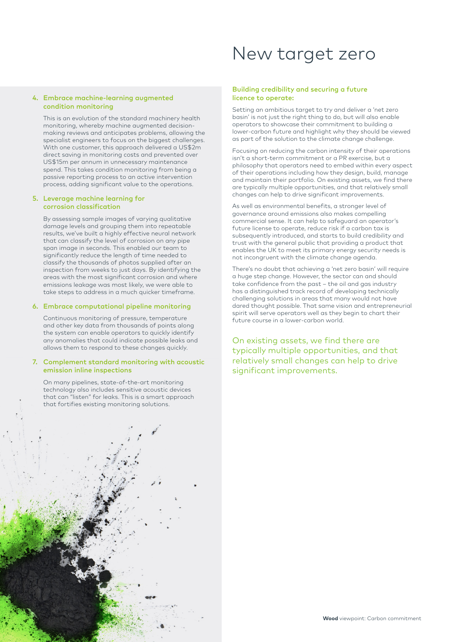#### 4. Embrace machine-learning augmented condition monitoring

This is an evolution of the standard machinery health monitoring, whereby machine augmented decisionmaking reviews and anticipates problems, allowing the specialist engineers to focus on the biggest challenges. With one customer, this approach delivered a US\$2m direct saving in monitoring costs and prevented over US\$15m per annum in unnecessary maintenance spend. This takes condition monitoring from being a passive reporting process to an active intervention process, adding significant value to the operations.

#### 5. Leverage machine learning for corrosion classification

By assessing sample images of varying qualitative damage levels and grouping them into repeatable results, we've built a highly effective neural network that can classify the level of corrosion on any pipe span image in seconds. This enabled our team to significantly reduce the length of time needed to classify the thousands of photos supplied after an inspection from weeks to just days. By identifying the areas with the most significant corrosion and where emissions leakage was most likely, we were able to take steps to address in a much quicker timeframe.

#### 6. Embrace computational pipeline monitoring

Continuous monitoring of pressure, temperature and other key data from thousands of points along the system can enable operators to quickly identify any anomalies that could indicate possible leaks and allows them to respond to these changes quickly.

#### 7. Complement standard monitoring with acoustic emission inline inspections

On many pipelines, state-of-the-art monitoring technology also includes sensitive acoustic devices that can "listen" for leaks. This is a smart approach that fortifies existing monitoring solutions.

# New target zero

#### Building credibility and securing a future licence to operate:

Setting an ambitious target to try and deliver a 'net zero basin' is not just the right thing to do, but will also enable operators to showcase their commitment to building a lower-carbon future and highlight why they should be viewed as part of the solution to the climate change challenge.

Focusing on reducing the carbon intensity of their operations isn't a short-term commitment or a PR exercise, but a philosophy that operators need to embed within every aspect of their operations including how they design, build, manage and maintain their portfolio. On existing assets, we find there are typically multiple opportunities, and that relatively small changes can help to drive significant improvements.

As well as environmental benefits, a stronger level of governance around emissions also makes compelling commercial sense. It can help to safeguard an operator's future license to operate, reduce risk if a carbon tax is subsequently introduced, and starts to build credibility and trust with the general public that providing a product that enables the UK to meet its primary energy security needs is not incongruent with the climate change agenda.

There's no doubt that achieving a 'net zero basin' will require a huge step change. However, the sector can and should take confidence from the past – the oil and gas industry has a distinguished track record of developing technically challenging solutions in areas that many would not have dared thought possible. That same vision and entrepreneurial spirit will serve operators well as they begin to chart their future course in a lower-carbon world.

On existing assets, we find there are typically multiple opportunities, and that relatively small changes can help to drive significant improvements.